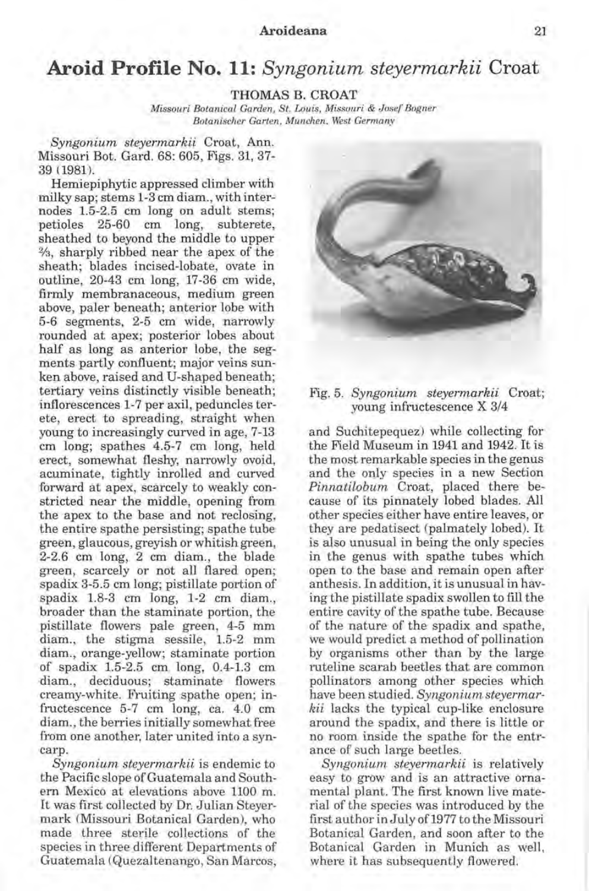## Aroideana 21

## **Aroid Profile No. 11:** *Syngonium steyermarkii* Croat

THOMAS B. CROAT

*Missouri Botanical Garden, St. Louis, Missouri* & *J osef Bogner Botanischer Garten, Munchen, West Germany* 

*Syngonium steyermarkii* Croat, Ann. Missouri Bot. Gard. 68: 605, Figs. 31, 37- 39 (1981).

Hemiepiphytic appressed climber with milky sap; stems 1-3 cm diam. , with internodes 1.5-2.5 cm long on adult stems; petioles 25-60 cm long, subterete, sheathed to beyond the middle to upper %, sharply ribbed near the apex of the sheath; blades incised-lobate, ovate in outline, 20-43 cm long, 17-36 cm wide, firmly membranaceous, medium green above, paler beneath; anterior lobe with 5-6 segments, 2-5 cm wide, narrowly rounded at apex; posterior lobes about half as long as anterior lobe, the segments partly confluent; major veins sunken above, raised and U-shaped beneath; tertiary veins distinctly visible beneath; inflorescences 1-7 per axil, peduncles terete, erect to spreading, straight when young to increasingly curved in age, 7-13 cm long; spathes 4.5-7 cm long, held erect, somewhat fleshy, narrowly ovoid, acuminate, tightly inrolled and curved forward at apex, scarcely to weakly constricted near the middle, opening from the apex to the base and not reclosing, the entire spathe persisting; spathe tube green, glaucous, greyish or whitish green, 2-2.6 cm long, 2 cm diam. , the blade green, scarcely or not all flared open; spadix 3-5.5 cm long; pistillate portion of spadix 1.8-3 cm long, 1-2 cm diam., broader than the staminate portion, the pistillate flowers pale green, 4-5 mm diam., the stigma sessile, 1.5-2 mm diam., orange-yellow; staminate portion of spadix 1.5-2.5 cm long, 0.4-1.3 cm diam., deciduous; staminate flowers creamy-white. Fruiting spathe open; infructescence 5-7 cm long, ca. 4.0 cm diam., the berries initially somewhat free from one another, later united into a syncarp.

*Syngonium steyermarkii* is endemic to the Pacific slope of Guatemala and Southern Mexico at elevations above 1100 m. It was first collected by Dr. Julian Steyermark (Missouri Botanical Garden), who made three sterile collections of the species in three different Departments of Guatemala (Quezaltenango, San Marcos,



## Fig. 5. *Syngonium steyermarkii* Croat; young infructescence X 3/4

and Suchitepequez) while collecting for the Field Museum in 1941 and 1942. It is the most remarkable species in the genus and the only species in a new Section *Pinnatilobum* Croat, placed there because of its pinnately lobed blades. All other species either have entire leaves, or they are pedatisect (palmately lobed). It is also unusual in being the only species in the genus with spathe tubes which open to the base and remain open after anthesis. In addition, it is unusual in having the pistillate spadix swollen to fill the entire cavity of the spathe tube. Because of the nature of the spadix and spathe, we would predict a method of pollination by organisms other than by the large ruteline scarab beetles that are common pollinators among other species which have been studied. *Syngonium steyermarkii* lacks the typical cup-like enclosure around the spadix, and there is little or no room inside the spathe for the entrance of such large beetles.

*Syngonium steyermarhii* is relatively easy to grow and is an attractive ornamental plant. The first known live material of the species was introduced by the first author in July of 1977 to the Missouri Botanical Garden, and soon after to the Botanical Garden in Munich as well, where it has subsequently flowered.